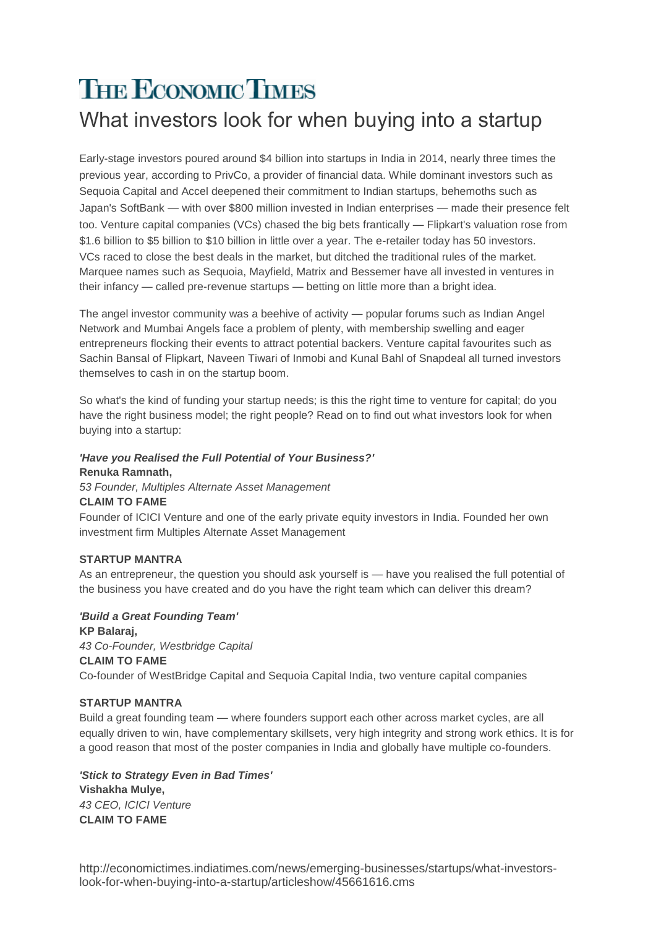# **THE ECONOMIC TIMES** What investors look for when buying into a startup

Early-stage investors poured around \$4 billion into startups in India in 2014, nearly three times the previous year, according to PrivCo, a provider of financial data. While dominant investors such as Sequoia Capital and Accel deepened their commitment to Indian startups, behemoths such as Japan's SoftBank — with over \$800 million invested in Indian enterprises — made their presence felt too. Venture capital companies (VCs) chased the big bets frantically — Flipkart's valuation rose from \$1.6 billion to \$5 billion to \$10 billion in little over a year. The e-retailer today has 50 investors. VCs raced to close the best deals in the market, but ditched the traditional rules of the market. Marquee names such as Sequoia, Mayfield, Matrix and Bessemer have all invested in ventures in their infancy — called pre-revenue startups — betting on little more than a bright idea.

The angel investor community was a beehive of activity — popular forums such as Indian Angel Network and Mumbai Angels face a problem of plenty, with membership swelling and eager entrepreneurs flocking their events to attract potential backers. Venture capital favourites such as Sachin Bansal of Flipkart, Naveen Tiwari of Inmobi and Kunal Bahl of Snapdeal all turned investors themselves to cash in on the startup boom.

So what's the kind of funding your startup needs; is this the right time to venture for capital; do you have the right business model; the right people? Read on to find out what investors look for when buying into a startup:

# *'Have you Realised the Full Potential of Your Business?'* **Renuka Ramnath,**

*53 Founder, Multiples Alternate Asset Management*

# **CLAIM TO FAME**

Founder of ICICI Venture and one of the early private equity investors in India. Founded her own investment firm Multiples Alternate Asset Management

# **STARTUP MANTRA**

As an entrepreneur, the question you should ask yourself is — have you realised the full potential of the business you have created and do you have the right team which can deliver this dream?

*'Build a Great Founding Team'* **KP Balaraj,** *43 Co-Founder, Westbridge Capital* **CLAIM TO FAME** Co-founder of WestBridge Capital and Sequoia Capital India, two venture capital companies

# **STARTUP MANTRA**

Build a great founding team — where founders support each other across market cycles, are all equally driven to win, have complementary skillsets, very high integrity and strong work ethics. It is for a good reason that most of the poster companies in India and globally have multiple co-founders.

*'Stick to Strategy Even in Bad Times'* **Vishakha Mulye,** *43 CEO, ICICI Venture* **CLAIM TO FAME**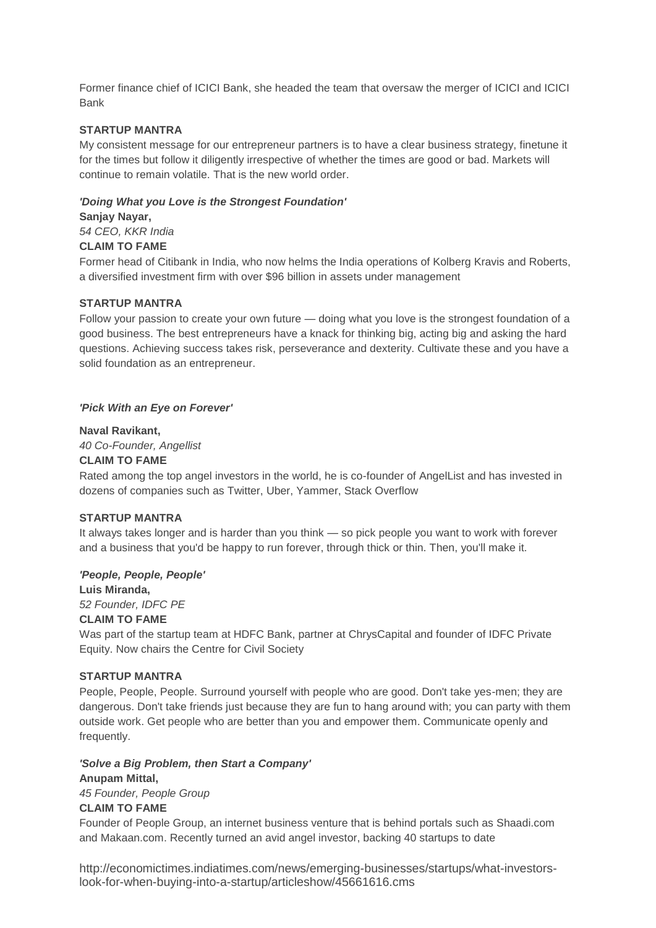Former finance chief of ICICI Bank, she headed the team that oversaw the merger of ICICI and ICICI Bank

# **STARTUP MANTRA**

My consistent message for our entrepreneur partners is to have a clear business strategy, finetune it for the times but follow it diligently irrespective of whether the times are good or bad. Markets will continue to remain volatile. That is the new world order.

#### *'Doing What you Love is the Strongest Foundation'*

#### **Sanjay Nayar,**

*54 CEO, KKR India*

# **CLAIM TO FAME**

Former head of Citibank in India, who now helms the India operations of Kolberg Kravis and Roberts, a diversified investment firm with over \$96 billion in assets under management

#### **STARTUP MANTRA**

Follow your passion to create your own future — doing what you love is the strongest foundation of a good business. The best entrepreneurs have a knack for thinking big, acting big and asking the hard questions. Achieving success takes risk, perseverance and dexterity. Cultivate these and you have a solid foundation as an entrepreneur.

#### *'Pick With an Eye on Forever'*

#### **Naval Ravikant,**

*40 Co-Founder, Angellist*

#### **CLAIM TO FAME**

Rated among the top angel investors in the world, he is co-founder of AngelList and has invested in dozens of companies such as Twitter, Uber, Yammer, Stack Overflow

#### **STARTUP MANTRA**

It always takes longer and is harder than you think — so pick people you want to work with forever and a business that you'd be happy to run forever, through thick or thin. Then, you'll make it.

#### *'People, People, People'*

**Luis Miranda,** *52 Founder, IDFC PE*

# **CLAIM TO FAME**

Was part of the startup team at HDFC Bank, partner at ChrysCapital and founder of IDFC Private Equity. Now chairs the Centre for Civil Society

# **STARTUP MANTRA**

People, People, People. Surround yourself with people who are good. Don't take yes-men; they are dangerous. Don't take friends just because they are fun to hang around with; you can party with them outside work. Get people who are better than you and empower them. Communicate openly and frequently.

## *'Solve a Big Problem, then Start a Company'* **Anupam Mittal,**

*45 Founder, People Group*

# **CLAIM TO FAME**

Founder of People Group, an internet business venture that is behind portals such as Shaadi.com and Makaan.com. Recently turned an avid angel investor, backing 40 startups to date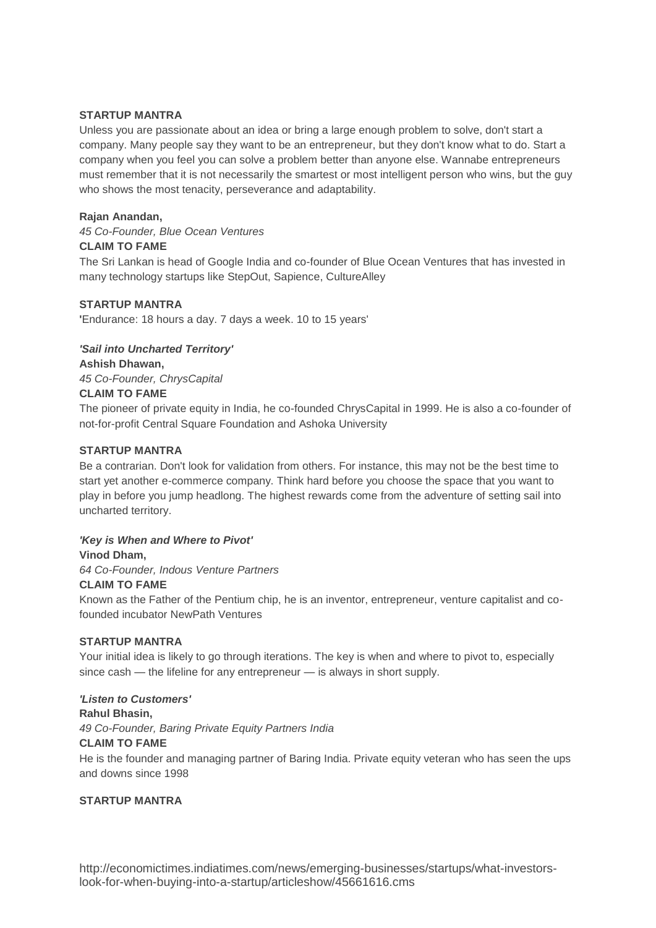# **STARTUP MANTRA**

Unless you are passionate about an idea or bring a large enough problem to solve, don't start a company. Many people say they want to be an entrepreneur, but they don't know what to do. Start a company when you feel you can solve a problem better than anyone else. Wannabe entrepreneurs must remember that it is not necessarily the smartest or most intelligent person who wins, but the guy who shows the most tenacity, perseverance and adaptability.

# **Rajan Anandan,**

*45 Co-Founder, Blue Ocean Ventures* **CLAIM TO FAME**

The Sri Lankan is head of Google India and co-founder of Blue Ocean Ventures that has invested in many technology startups like StepOut, Sapience, CultureAlley

# **STARTUP MANTRA**

**'**Endurance: 18 hours a day. 7 days a week. 10 to 15 years'

# *'Sail into Uncharted Territory'*

**Ashish Dhawan,**

*45 Co-Founder, ChrysCapital*

# **CLAIM TO FAME**

The pioneer of private equity in India, he co-founded ChrysCapital in 1999. He is also a co-founder of not-for-profit Central Square Foundation and Ashoka University

# **STARTUP MANTRA**

Be a contrarian. Don't look for validation from others. For instance, this may not be the best time to start yet another e-commerce company. Think hard before you choose the space that you want to play in before you jump headlong. The highest rewards come from the adventure of setting sail into uncharted territory.

# *'Key is When and Where to Pivot'*

**Vinod Dham,**

*64 Co-Founder, Indous Venture Partners*

# **CLAIM TO FAME**

Known as the Father of the Pentium chip, he is an inventor, entrepreneur, venture capitalist and cofounded incubator NewPath Ventures

# **STARTUP MANTRA**

Your initial idea is likely to go through iterations. The key is when and where to pivot to, especially since cash — the lifeline for any entrepreneur — is always in short supply.

# *'Listen to Customers'*

**Rahul Bhasin,**

*49 Co-Founder, Baring Private Equity Partners India*

# **CLAIM TO FAME**

He is the founder and managing partner of Baring India. Private equity veteran who has seen the ups and downs since 1998

# **STARTUP MANTRA**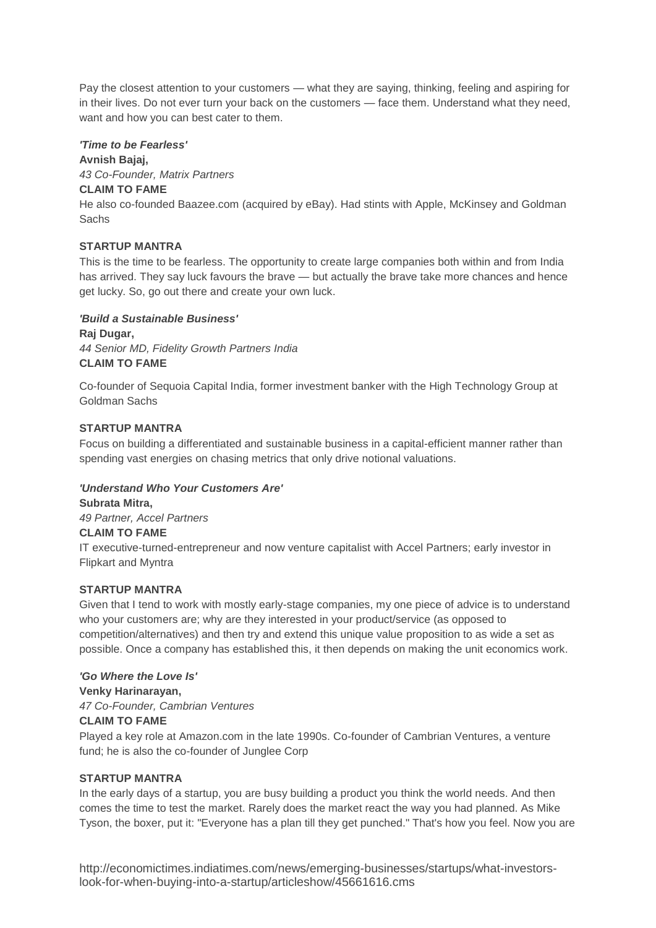Pay the closest attention to your customers — what they are saying, thinking, feeling and aspiring for in their lives. Do not ever turn your back on the customers — face them. Understand what they need, want and how you can best cater to them.

## *'Time to be Fearless'*

# **Avnish Bajaj,**

*43 Co-Founder, Matrix Partners*

## **CLAIM TO FAME**

He also co-founded Baazee.com (acquired by eBay). Had stints with Apple, McKinsey and Goldman **Sachs** 

# **STARTUP MANTRA**

This is the time to be fearless. The opportunity to create large companies both within and from India has arrived. They say luck favours the brave — but actually the brave take more chances and hence get lucky. So, go out there and create your own luck.

# *'Build a Sustainable Business'*

**Raj Dugar,** *44 Senior MD, Fidelity Growth Partners India* **CLAIM TO FAME**

Co-founder of Sequoia Capital India, former investment banker with the High Technology Group at Goldman Sachs

### **STARTUP MANTRA**

Focus on building a differentiated and sustainable business in a capital-efficient manner rather than spending vast energies on chasing metrics that only drive notional valuations.

# *'Understand Who Your Customers Are'*

**Subrata Mitra,** *49 Partner, Accel Partners*

# **CLAIM TO FAME**

IT executive-turned-entrepreneur and now venture capitalist with Accel Partners; early investor in

Flipkart and Myntra

# **STARTUP MANTRA**

Given that I tend to work with mostly early-stage companies, my one piece of advice is to understand who your customers are; why are they interested in your product/service (as opposed to competition/alternatives) and then try and extend this unique value proposition to as wide a set as possible. Once a company has established this, it then depends on making the unit economics work.

#### *'Go Where the Love Is'*

**Venky Harinarayan,** *47 Co-Founder, Cambrian Ventures*

# **CLAIM TO FAME**

Played a key role at Amazon.com in the late 1990s. Co-founder of Cambrian Ventures, a venture fund; he is also the co-founder of Junglee Corp

# **STARTUP MANTRA**

In the early days of a startup, you are busy building a product you think the world needs. And then comes the time to test the market. Rarely does the market react the way you had planned. As Mike Tyson, the boxer, put it: "Everyone has a plan till they get punched." That's how you feel. Now you are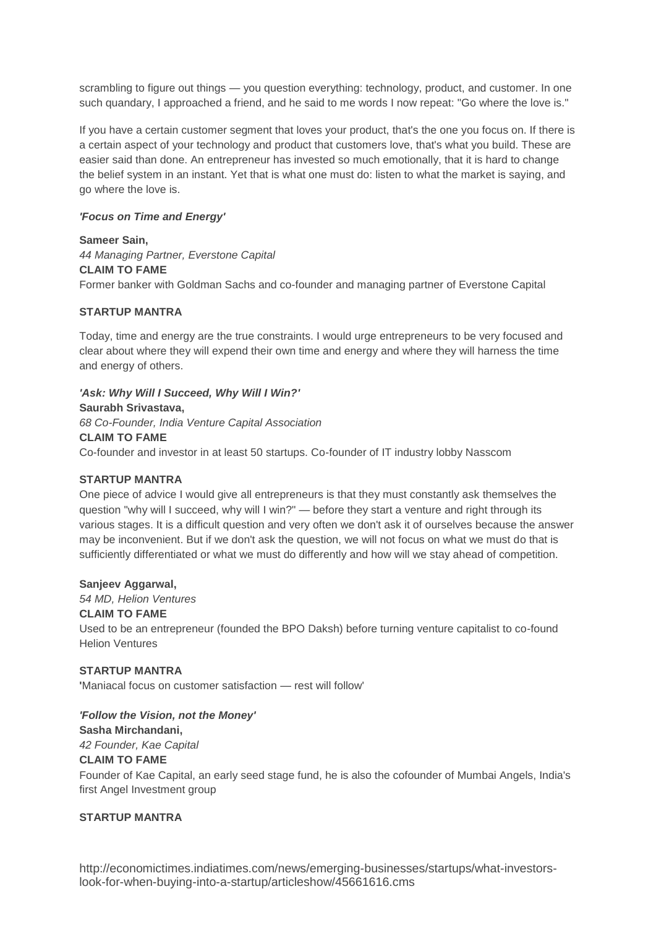scrambling to figure out things — you question everything: technology, product, and customer. In one such quandary, I approached a friend, and he said to me words I now repeat: "Go where the love is."

If you have a certain customer segment that loves your product, that's the one you focus on. If there is a certain aspect of your technology and product that customers love, that's what you build. These are easier said than done. An entrepreneur has invested so much emotionally, that it is hard to change the belief system in an instant. Yet that is what one must do: listen to what the market is saying, and go where the love is.

# *'Focus on Time and Energy'*

**Sameer Sain,** *44 Managing Partner, Everstone Capital* **CLAIM TO FAME** Former banker with Goldman Sachs and co-founder and managing partner of Everstone Capital

#### **STARTUP MANTRA**

Today, time and energy are the true constraints. I would urge entrepreneurs to be very focused and clear about where they will expend their own time and energy and where they will harness the time and energy of others.

*'Ask: Why Will I Succeed, Why Will I Win?'* **Saurabh Srivastava,** *68 Co-Founder, India Venture Capital Association* **CLAIM TO FAME**

Co-founder and investor in at least 50 startups. Co-founder of IT industry lobby Nasscom

#### **STARTUP MANTRA**

One piece of advice I would give all entrepreneurs is that they must constantly ask themselves the question "why will I succeed, why will I win?" — before they start a venture and right through its various stages. It is a difficult question and very often we don't ask it of ourselves because the answer may be inconvenient. But if we don't ask the question, we will not focus on what we must do that is sufficiently differentiated or what we must do differently and how will we stay ahead of competition.

#### **Sanjeev Aggarwal,**

*54 MD, Helion Ventures*

# **CLAIM TO FAME**

Used to be an entrepreneur (founded the BPO Daksh) before turning venture capitalist to co-found Helion Ventures

# **STARTUP MANTRA**

**'**Maniacal focus on customer satisfaction — rest will follow'

# *'Follow the Vision, not the Money'*

**Sasha Mirchandani,**

*42 Founder, Kae Capital*

# **CLAIM TO FAME**

Founder of Kae Capital, an early seed stage fund, he is also the cofounder of Mumbai Angels, India's first Angel Investment group

# **STARTUP MANTRA**